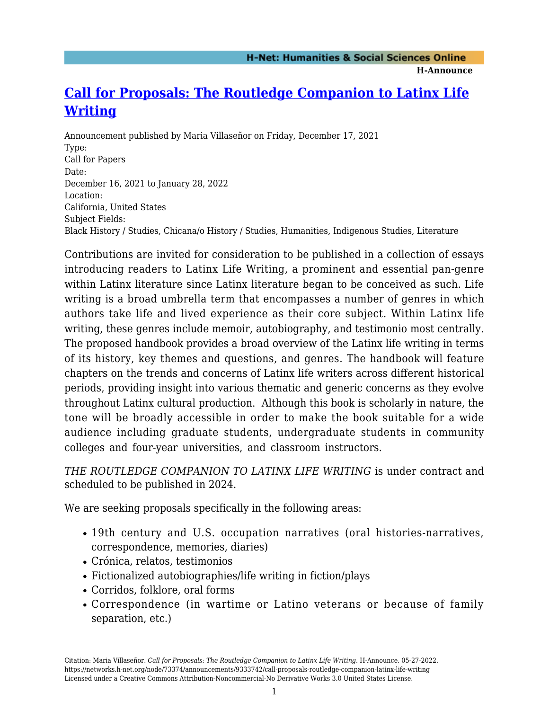**H-Announce** 

## **[Call for Proposals: The Routledge Companion to Latinx Life](https://networks.h-net.org/node/73374/announcements/9333742/call-proposals-routledge-companion-latinx-life-writing) [Writing](https://networks.h-net.org/node/73374/announcements/9333742/call-proposals-routledge-companion-latinx-life-writing)**

Announcement published by Maria Villaseñor on Friday, December 17, 2021 Type: Call for Papers Date: December 16, 2021 to January 28, 2022 Location: California, United States Subject Fields: Black History / Studies, Chicana/o History / Studies, Humanities, Indigenous Studies, Literature

Contributions are invited for consideration to be published in a collection of essays introducing readers to Latinx Life Writing, a prominent and essential pan-genre within Latinx literature since Latinx literature began to be conceived as such. Life writing is a broad umbrella term that encompasses a number of genres in which authors take life and lived experience as their core subject. Within Latinx life writing, these genres include memoir, autobiography, and testimonio most centrally. The proposed handbook provides a broad overview of the Latinx life writing in terms of its history, key themes and questions, and genres. The handbook will feature chapters on the trends and concerns of Latinx life writers across different historical periods, providing insight into various thematic and generic concerns as they evolve throughout Latinx cultural production. Although this book is scholarly in nature, the tone will be broadly accessible in order to make the book suitable for a wide audience including graduate students, undergraduate students in community colleges and four-year universities, and classroom instructors.

*THE ROUTLEDGE COMPANION TO LATINX LIFE WRITING* is under contract and scheduled to be published in 2024.

We are seeking proposals specifically in the following areas:

- 19th century and U.S. occupation narratives (oral histories-narratives, correspondence, memories, diaries)
- Crónica, relatos, testimonios
- Fictionalized autobiographies/life writing in fiction/plays
- Corridos, folklore, oral forms
- Correspondence (in wartime or Latino veterans or because of family separation, etc.)

Citation: Maria Villaseñor. *Call for Proposals: The Routledge Companion to Latinx Life Writing*. H-Announce. 05-27-2022. https://networks.h-net.org/node/73374/announcements/9333742/call-proposals-routledge-companion-latinx-life-writing Licensed under a Creative Commons Attribution-Noncommercial-No Derivative Works 3.0 United States License.